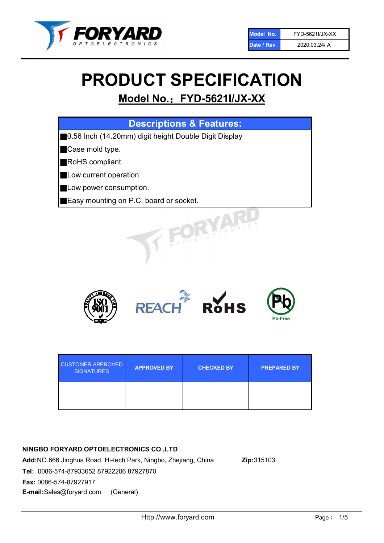

# PRODUCT SPECIFICATION

# Model No.: FYD-5621I/JX-XX

| <b>Descriptions &amp; Features:</b>                   |
|-------------------------------------------------------|
| 0.56 Inch (14.20mm) digit height Double Digit Display |
| Case mold type.                                       |
| RoHS compliant.                                       |
| Low current operation                                 |
| Low power consumption.                                |
| Easy mounting on P.C. board or socket.                |
| TOELECTRONICS                                         |



| <b>CUSTOMER APPROVED</b><br><b>SIGNATURES</b> | <b>APPROVED BY</b> | <b>CHECKED BY</b> | <b>PREPARED BY</b> |
|-----------------------------------------------|--------------------|-------------------|--------------------|
|                                               |                    |                   |                    |

# NINGBO FORYARD OPTOELECTRONICS CO.,LTD

Add:NO.666 Jinghua Road, Hi-tech Park, Ningbo, Zhejiang, China Zip:315103 Tel: 0086-574-87933652 87922206 87927870 Fax: 0086-574-87927917 E-mail:Sales@foryard.com (General)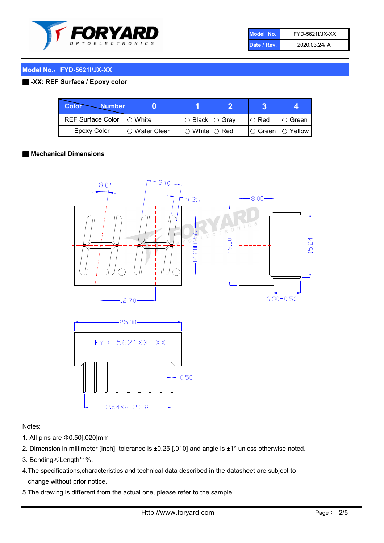

| Model No.   | FYD-5621I/JX-XX |
|-------------|-----------------|
| Date / Rev. | 2020.03.24/ A   |

## Model No.: FYD-5621I/JX-XX

# ■ -XX: REF Surface / Epoxy color

| Color<br><b>Number</b>      |                |                                                   |             |                |
|-----------------------------|----------------|---------------------------------------------------|-------------|----------------|
| REF Surface Color   O White |                | ○ Black  ○ Gray                                   | $\circ$ Red | $\circ$ Green  |
| Epoxy Color                 | I⊖ Water Clear | $\mathbin{\varcap}$ White $\mathbin{\varcap}$ Red | IO Green∶   | $\circ$ Yellow |

#### ■ Mechanical Dimensions





#### Notes:

- 1. All pins are Φ0.50[.020]mm
- 2. Dimension in millimeter [inch], tolerance is ±0.25 [.010] and angle is ±1° unless otherwise noted.
- 3. Bending≤Length\*1%.
- 4.The specifications,characteristics and technical data described in the datasheet are subject to change without prior notice.
- 5.The drawing is different from the actual one, please refer to the sample.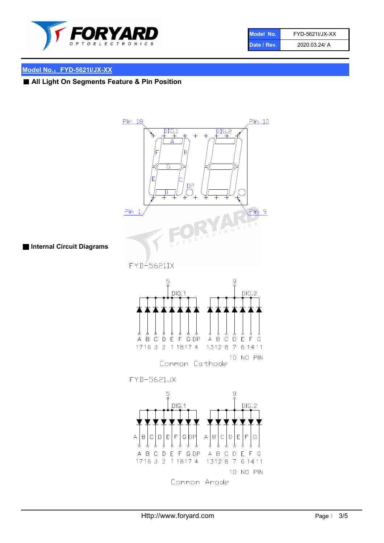

| Model No.   | FYD-5621I/JX-XX |
|-------------|-----------------|
| Date / Rev. | 2020.03.24/ A   |

# Model No.: FYD-5621I/JX-XX

■ All Light On Segments Feature & Pin Position

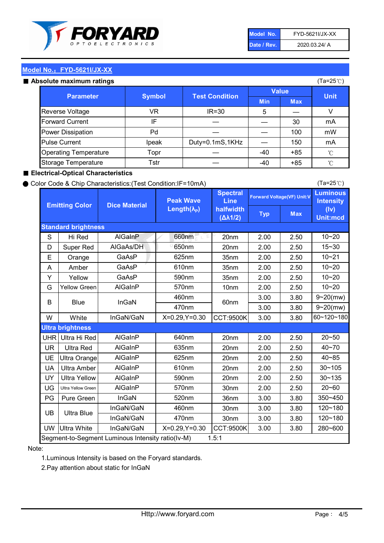

| Model No.   | FYD-5621I/JX-XX |
|-------------|-----------------|
| Date / Rev. | 2020.03.24/ A   |

(Ta=25℃)

### Model No.: FYD-5621I/JX-XX

#### Absolute maximum ratings

| solute maximum ratings       |               |                       |              |            | (Ta=25℃)    |
|------------------------------|---------------|-----------------------|--------------|------------|-------------|
| <b>Parameter</b>             | <b>Symbol</b> | <b>Test Condition</b> | <b>Value</b> |            |             |
|                              |               |                       | <b>Min</b>   | <b>Max</b> | <b>Unit</b> |
| Reverse Voltage              | VR            | IR=30                 | 5            |            | v           |
| <b>Forward Current</b>       | IF            |                       |              | 30         | mA          |
| Power Dissipation            | Pd            |                       |              | 100        | mW          |
| <b>Pulse Current</b>         | Ipeak         | Duty=0.1mS,1KHz       |              | 150        | mA          |
| <b>Operating Temperature</b> | Topr          |                       | $-40$        | $+85$      | °C          |
| Storage Temperature          | Tstr          |                       | -40          | $+85$      | °C          |

### ■ Electrical-Optical Characteristics

#### ● Color Code & Chip Characteristics:(Test Condition:IF=10mA)

Typ Max S | Hi $\textsf{Red}$  | AlGaInP | 660nm LE 20nm | 2.00 | 2.50 D | Super Red | AIGaAs/DH | 650nm | 20nm | 2.00 | 2.50 E | Orange | GaAsP | 625nm | 35nm | 2.00 | 2.50 A | Amber | GaAsP | 610nm | 35nm | 2.00 | 2.50 Y | Yellow | GaAsP | 590nm | 35nm | 2.00 | 2.50 G Yellow Green AIGaInP | 570nm | 10nm | 2.00 | 2.50 3.00 3.80 3.00 3.80 W | White | InGaN/GaN | X=0.29,Y=0.30 |CCT:9500K| 3.00 | 3.80 UHR Ultra Hi Red | AlGaInP | 640nm | 20nm | 2.00 | 2.50 UR | Ultra Red | AlGaInP | 635nm | 20nm | 2.00 | 2.50 UE Ultra Orange | AIGaInP | 625nm | 20nm | 2.00 | 2.50 UA Ultra Amber | AIGaInP | 610nm | 20nm | 2.00 | 2.50  $UV$  Ultra Yellow  $\vert$  AlGaInP  $\vert$  590nm  $\vert$  20nm  $\vert$  2.00  $\vert$  2.50  $\text{UG}$  Ultra Yellow Green | AIGaInP | 570nm | 30nm | 2.00 | 2.50 PG Pure Green | InGaN | 520nm | 36nm | 3.00 | 3.80 30nm 3.00 3.80 30nm 3.00 3.80 UW |Ultra White | InGaN/GaN | X=0.29,Y=0.30 |CCT:9500K| 3.00 | 3.80 40~85 60~120~180 40~70 Segment-to-Segment Luminous Intensity ratio(Iv-M) 1.5:1 610nm 9~20(mw) 350~450 470nm 120~180 120~180 Ultra Blue InGaN/GaN InGaN/GaN 9~20(mw) 20~50 280~600 570nm | 30nm | 2.00 | 2.50 | 20~60 470nm 590nm InGaN/GaN B Blue I InGaN 570nm | 10nm | 2.00 | 2.50 | 10~20 30~105 30~135 460nm 520nm Ultra brightness **AlGaInP** AlGaInP 60nm AlGaInP 640nm Peak Wave Length $(\lambda_{\rm P})$ UB 460nm 635nm AlGaInP AlGaInP AlGaInP InGaN/GaN AlGaInP 10~20 Luminous **Intensity** (Iv) Unit:mcd AlGainP 660nm GaAsP GaAsP AlGaAs/DH **Spectral** Line halfwidth (∆λ1/2) 10~20 Standard brightness Forward Voltage(VF) Unit:V 15~30 10~20 625nm GaAsP 590nm **Emitting Color Dice Material** 10~21 610nm

Note:

1.Luminous Intensity is based on the Foryard standards.

2.Pay attention about static for InGaN